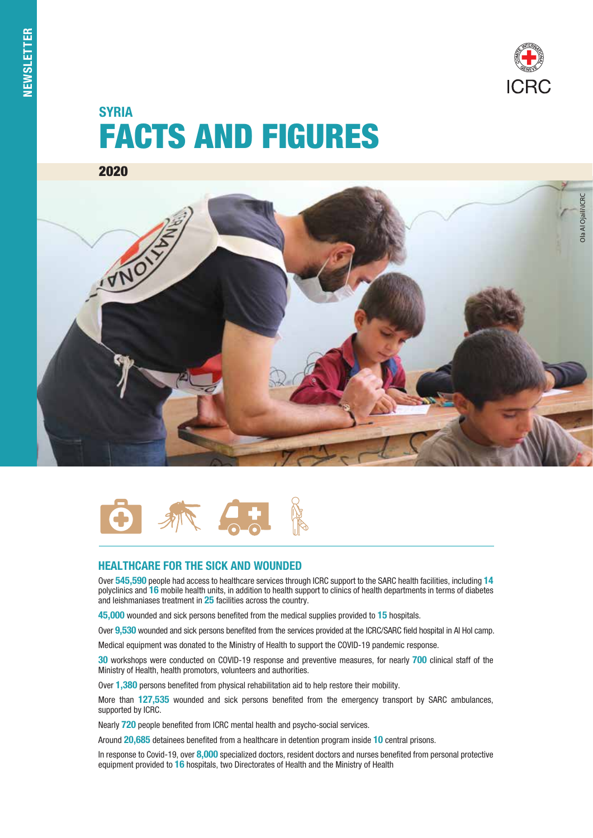# FACTS AND FIGURES **SYRIA**

2020





# HEALTHCARE FOR THE SICK AND WOUNDED

Over 545,590 people had access to healthcare services through ICRC support to the SARC health facilities, including 14 polyclinics and 16 mobile health units, in addition to health support to clinics of health departments in terms of diabetes and leishmaniases treatment in 25 facilities across the country.

45,000 wounded and sick persons benefited from the medical supplies provided to 15 hospitals.

Over 9,530 wounded and sick persons benefited from the services provided at the ICRC/SARC field hospital in AI Hol camp.

Medical equipment was donated to the Ministry of Health to support the COVID-19 pandemic response.

30 workshops were conducted on COVID-19 response and preventive measures, for nearly 700 clinical staff of the Ministry of Health, health promotors, volunteers and authorities.

Over 1.380 persons benefited from physical rehabilitation aid to help restore their mobility.

More than 127,535 wounded and sick persons benefited from the emergency transport by SARC ambulances, supported by ICRC.

Nearly 720 people benefited from ICRC mental health and psycho-social services.

Around 20,685 detainees benefited from a healthcare in detention program inside 10 central prisons.

In response to Covid-19, over 8,000 specialized doctors, resident doctors and nurses benefited from personal protective equipment provided to 16 hospitals, two Directorates of Health and the Ministry of Health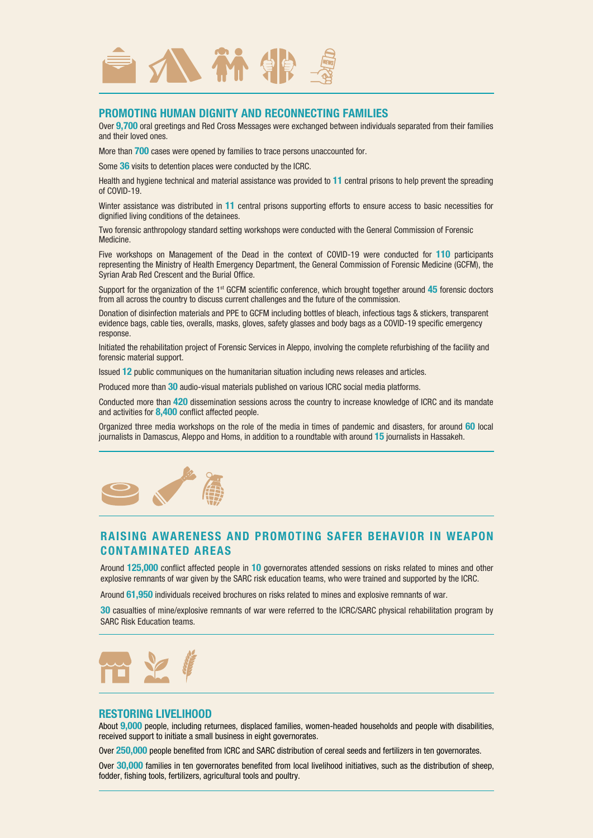

## PROMOTING HUMAN DIGNITY AND RECONNECTING FAMILIES

Over 9,700 oral greetings and Red Cross Messages were exchanged between individuals separated from their families and their loved ones.

More than 700 cases were opened by families to trace persons unaccounted for.

Some 36 visits to detention places were conducted by the ICRC.

Health and hygiene technical and material assistance was provided to 11 central prisons to help prevent the spreading of COVID-19.

Winter assistance was distributed in 11 central prisons supporting efforts to ensure access to basic necessities for dignified living conditions of the detainees.

Two forensic anthropology standard setting workshops were conducted with the General Commission of Forensic Medicine.

Five workshops on Management of the Dead in the context of COVID-19 were conducted for 110 participants representing the Ministry of Health Emergency Department, the General Commission of Forensic Medicine (GCFM), the Syrian Arab Red Crescent and the Burial Office.

Support for the organization of the  $1<sup>st</sup>$  GCFM scientific conference, which brought together around  $45$  forensic doctors from all across the country to discuss current challenges and the future of the commission.

Donation of disinfection materials and PPE to GCFM including bottles of bleach, infectious tags & stickers, transparent evidence bags, cable ties, overalls, masks, gloves, safety glasses and body bags as a COVID-19 specific emergency response.

Initiated the rehabilitation project of Forensic Services in Aleppo, involving the complete refurbishing of the facility and forensic material support.

Issued 12 public communiques on the humanitarian situation including news releases and articles.

Produced more than 30 audio-visual materials published on various ICRC social media platforms.

Conducted more than 420 dissemination sessions across the country to increase knowledge of ICRC and its mandate and activities for 8,400 conflict affected people.

Organized three media workshops on the role of the media in times of pandemic and disasters, for around 60 local journalists in Damascus, Aleppo and Homs, in addition to a roundtable with around 15 journalists in Hassakeh.



# RAISING AWARENESS AND PROMOTING SAFER BEHAVIOR IN WEAPON CONTAMINATED AREAS

Around 125,000 conflict affected people in 10 governorates attended sessions on risks related to mines and other explosive remnants of war given by the SARC risk education teams, who were trained and supported by the ICRC.

Around 61,950 individuals received brochures on risks related to mines and explosive remnants of war.

30 casualties of mine/explosive remnants of war were referred to the ICRC/SARC physical rehabilitation program by SARC Risk Education teams.



#### RESTORING LIVELIHOOD

About 9,000 people, including returnees, displaced families, women-headed households and people with disabilities, received support to initiate a small business in eight governorates.

Over 250,000 people benefited from ICRC and SARC distribution of cereal seeds and fertilizers in ten governorates.

Over 30,000 families in ten governorates benefited from local livelihood initiatives, such as the distribution of sheep, fodder, fishing tools, fertilizers, agricultural tools and poultry.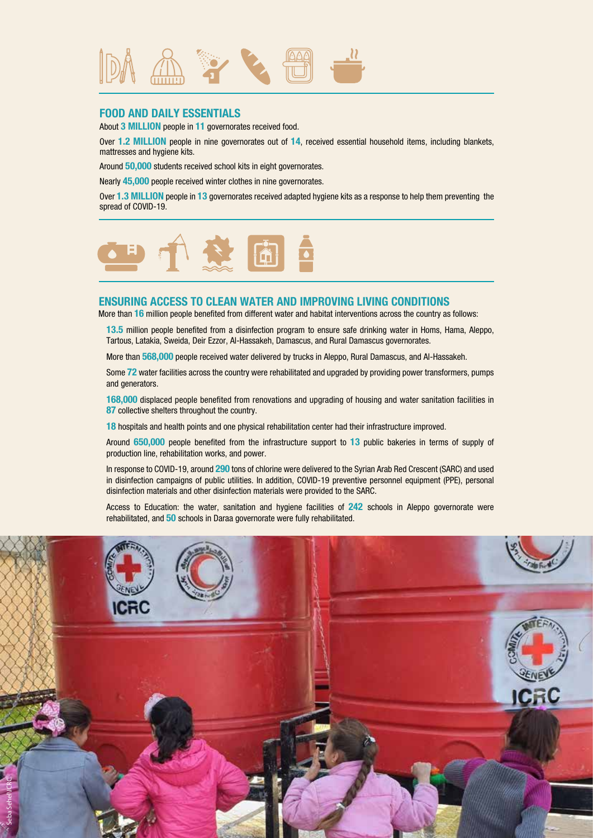

## FOOD AND DAILY ESSENTIALS

About 3 MILLION people in 11 governorates received food.

Over 1.2 MILLION people in nine governorates out of 14, received essential household items, including blankets, mattresses and hygiene kits.

Around 50,000 students received school kits in eight governorates.

Nearly 45,000 people received winter clothes in nine governorates.

Over 1.3 MILLION people in 13 governorates received adapted hygiene kits as a response to help them preventing the spread of COVID-19.



## ENSURING ACCESS TO CLEAN WATER AND IMPROVING LIVING CONDITIONS

More than 16 million people benefited from different water and habitat interventions across the country as follows:

13.5 million people benefited from a disinfection program to ensure safe drinking water in Homs, Hama, Aleppo, Tartous, Latakia, Sweida, Deir Ezzor, Al-Hassakeh, Damascus, and Rural Damascus governorates.

More than 568,000 people received water delivered by trucks in Aleppo, Rural Damascus, and Al-Hassakeh.

Some 72 water facilities across the country were rehabilitated and upgraded by providing power transformers, pumps and generators.

168,000 displaced people benefited from renovations and upgrading of housing and water sanitation facilities in 87 collective shelters throughout the country.

18 hospitals and health points and one physical rehabilitation center had their infrastructure improved.

Around 650,000 people benefited from the infrastructure support to 13 public bakeries in terms of supply of production line, rehabilitation works, and power.

In response to COVID-19, around 290 tons of chlorine were delivered to the Syrian Arab Red Crescent (SARC) and used in disinfection campaigns of public utilities. In addition, COVID-19 preventive personnel equipment (PPE), personal disinfection materials and other disinfection materials were provided to the SARC.

Access to Education: the water, sanitation and hygiene facilities of 242 schools in Aleppo governorate were rehabilitated, and 50 schools in Daraa governorate were fully rehabilitated.